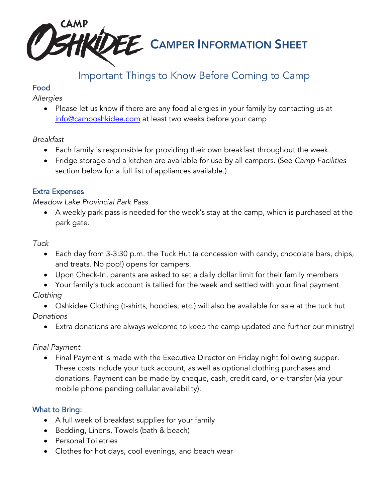

## Important Things to Know Before Coming to Camp

## Food

*Allergies*

• Please let us know if there are any food allergies in your family by contacting us at info@camposhkidee.com at least two weeks before your camp

#### *Breakfast*

- Each family is responsible for providing their own breakfast throughout the week.
- Fridge storage and a kitchen are available for use by all campers. (See *Camp Facilities* section below for a full list of appliances available.)

## Extra Expenses

#### *Meadow Lake Provincial Park Pass*

• A weekly park pass is needed for the week's stay at the camp, which is purchased at the park gate.

#### *Tuck*

- Each day from 3-3:30 p.m. the Tuck Hut (a concession with candy, chocolate bars, chips, and treats. No pop!) opens for campers.
- Upon Check-In, parents are asked to set a daily dollar limit for their family members
- Your family's tuck account is tallied for the week and settled with your final payment

## *Clothing*

• Oshkidee Clothing (t-shirts, hoodies, etc.) will also be available for sale at the tuck hut *Donations*

• Extra donations are always welcome to keep the camp updated and further our ministry!

## *Final Payment*

• Final Payment is made with the Executive Director on Friday night following supper. These costs include your tuck account, as well as optional clothing purchases and donations. Payment can be made by cheque, cash, credit card, or e-transfer (via your mobile phone pending cellular availability).

## What to Bring:

- A full week of breakfast supplies for your family
- Bedding, Linens, Towels (bath & beach)
- Personal Toiletries
- Clothes for hot days, cool evenings, and beach wear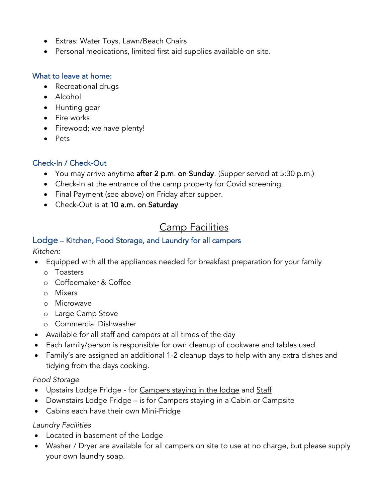- Extras: Water Toys, Lawn/Beach Chairs
- Personal medications, limited first aid supplies available on site.

#### What to leave at home:

- Recreational drugs
- Alcohol
- Hunting gear
- Fire works
- Firewood; we have plenty!
- Pets

#### Check-In / Check-Out

- You may arrive anytime after 2 p.m. on Sunday. (Supper served at 5:30 p.m.)
- Check-In at the entrance of the camp property for Covid screening.
- Final Payment (see above) on Friday after supper.
- Check-Out is at 10 a.m. on Saturday

# Camp Facilities

## Lodge – Kitchen, Food Storage, and Laundry for all campers

*Kitchen:* 

- Equipped with all the appliances needed for breakfast preparation for your family
	- o Toasters
	- o Coffeemaker & Coffee
	- o Mixers
	- o Microwave
	- o Large Camp Stove
	- o Commercial Dishwasher
- Available for all staff and campers at all times of the day
- Each family/person is responsible for own cleanup of cookware and tables used
- Family's are assigned an additional 1-2 cleanup days to help with any extra dishes and tidying from the days cooking.

#### *Food Storage*

- Upstairs Lodge Fridge for Campers staying in the lodge and Staff
- Downstairs Lodge Fridge is for Campers staying in a Cabin or Campsite
- Cabins each have their own Mini-Fridge

#### *Laundry Facilities*

- Located in basement of the Lodge
- Washer / Dryer are available for all campers on site to use at no charge, but please supply your own laundry soap.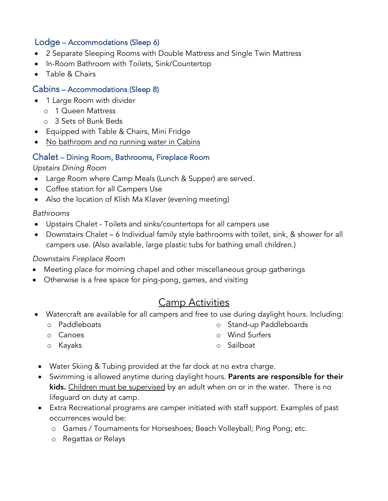## Lodge – Accommodations (Sleep 6)

- 2 Separate Sleeping Rooms with Double Mattress and Single Twin Mattress
- In-Room Bathroom with Toilets, Sink/Countertop
- Table & Chairs

## Cabins – Accommodations (Sleep 8)

- 1 Large Room with divider
	- o 1 Queen Mattress
	- o 3 Sets of Bunk Beds
- Equipped with Table & Chairs, Mini Fridge
- No bathroom and no running water in Cabins

#### Chalet – Dining Room, Bathrooms, Fireplace Room

#### *Upstairs Dining Room*

- Large Room where Camp Meals (Lunch & Supper) are served.
- Coffee station for all Campers Use
- Also the location of Klish Ma Klaver (evening meeting)

#### *Bathrooms*

- Upstairs Chalet Toilets and sinks/countertops for all campers use
- Downstairs Chalet 6 Individual family style bathrooms with toilet, sink, & shower for all campers use. (Also available, large plastic tubs for bathing small children.)

#### *Downstairs Fireplace Room*

- Meeting place for morning chapel and other miscellaneous group gatherings
- Otherwise is a free space for ping-pong, games, and visiting

## Camp Activities

- Watercraft are available for all campers and free to use during daylight hours. Including:
	- o Paddleboats

o Stand-up Paddleboards

o Canoes

o Wind Surfers

o Kayaks

- o Sailboat
- Water Skiing & Tubing provided at the far dock at no extra charge.
- Swimming is allowed anytime during daylight hours. Parents are responsible for their kids. Children must be supervised by an adult when on or in the water. There is no lifeguard on duty at camp.
- Extra Recreational programs are camper initiated with staff support. Examples of past occurrences would be:
	- o Games / Tournaments for Horseshoes; Beach Volleyball; Ping Pong; etc.
	- o Regattas or Relays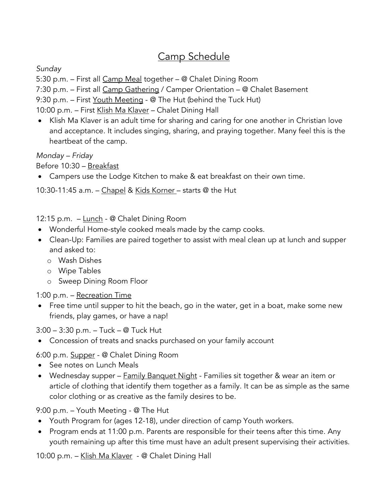# Camp Schedule

*Sunday*

5:30 p.m. – First all Camp Meal together – @ Chalet Dining Room

7:30 p.m. – First all Camp Gathering / Camper Orientation – @ Chalet Basement

9:30 p.m. – First <u>Youth Meeting</u> - @ The Hut (behind the Tuck Hut)

10:00 p.m. – First Klish Ma Klaver – Chalet Dining Hall

• Klish Ma Klaver is an adult time for sharing and caring for one another in Christian love and acceptance. It includes singing, sharing, and praying together. Many feel this is the heartbeat of the camp.

*Monday – Friday*

Before 10:30 – Breakfast

• Campers use the Lodge Kitchen to make & eat breakfast on their own time.

10:30-11:45 a.m. – Chapel & Kids Korner – starts @ the Hut

12:15 p.m. - Lunch - @ Chalet Dining Room

- Wonderful Home-style cooked meals made by the camp cooks.
- Clean-Up: Families are paired together to assist with meal clean up at lunch and supper and asked to:
	- o Wash Dishes
	- o Wipe Tables
	- o Sweep Dining Room Floor

1:00 p.m. – Recreation Time

• Free time until supper to hit the beach, go in the water, get in a boat, make some new friends, play games, or have a nap!

3:00 – 3:30 p.m. – Tuck – @ Tuck Hut

• Concession of treats and snacks purchased on your family account

6:00 p.m. Supper - @ Chalet Dining Room

- See notes on Lunch Meals
- Wednesday supper Family Banquet Night Families sit together & wear an item or article of clothing that identify them together as a family. It can be as simple as the same color clothing or as creative as the family desires to be.

9:00 p.m. – Youth Meeting - @ The Hut

- Youth Program for (ages 12-18), under direction of camp Youth workers.
- Program ends at 11:00 p.m. Parents are responsible for their teens after this time. Any youth remaining up after this time must have an adult present supervising their activities.

10:00 p.m. - Klish Ma Klaver - @ Chalet Dining Hall